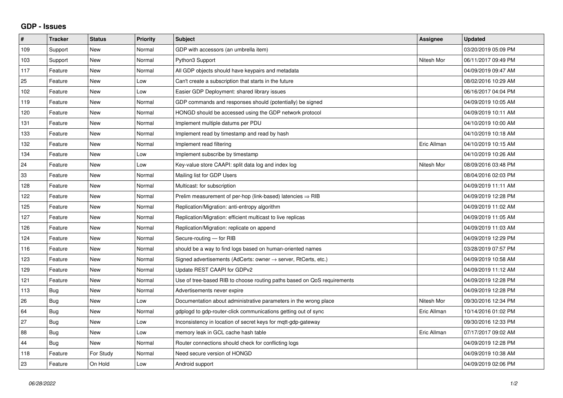## **GDP - Issues**

| #   | <b>Tracker</b> | <b>Status</b> | Priority | <b>Subject</b>                                                             | Assignee    | <b>Updated</b>      |
|-----|----------------|---------------|----------|----------------------------------------------------------------------------|-------------|---------------------|
| 109 | Support        | <b>New</b>    | Normal   | GDP with accessors (an umbrella item)                                      |             | 03/20/2019 05:09 PM |
| 103 | Support        | <b>New</b>    | Normal   | Python3 Support                                                            | Nitesh Mor  | 06/11/2017 09:49 PM |
| 117 | Feature        | <b>New</b>    | Normal   | All GDP objects should have keypairs and metadata                          |             | 04/09/2019 09:47 AM |
| 25  | Feature        | <b>New</b>    | Low      | Can't create a subscription that starts in the future                      |             | 08/02/2016 10:29 AM |
| 102 | Feature        | <b>New</b>    | Low      | Easier GDP Deployment: shared library issues                               |             | 06/16/2017 04:04 PM |
| 119 | Feature        | <b>New</b>    | Normal   | GDP commands and responses should (potentially) be signed                  |             | 04/09/2019 10:05 AM |
| 120 | Feature        | <b>New</b>    | Normal   | HONGD should be accessed using the GDP network protocol                    |             | 04/09/2019 10:11 AM |
| 131 | Feature        | <b>New</b>    | Normal   | Implement multiple datums per PDU                                          |             | 04/10/2019 10:00 AM |
| 133 | Feature        | <b>New</b>    | Normal   | Implement read by timestamp and read by hash                               |             | 04/10/2019 10:18 AM |
| 132 | Feature        | <b>New</b>    | Normal   | Implement read filtering                                                   | Eric Allman | 04/10/2019 10:15 AM |
| 134 | Feature        | <b>New</b>    | Low      | Implement subscribe by timestamp                                           |             | 04/10/2019 10:26 AM |
| 24  | Feature        | <b>New</b>    | Low      | Key-value store CAAPI: split data log and index log                        | Nitesh Mor  | 08/09/2016 03:48 PM |
| 33  | Feature        | <b>New</b>    | Normal   | Mailing list for GDP Users                                                 |             | 08/04/2016 02:03 PM |
| 128 | Feature        | <b>New</b>    | Normal   | Multicast: for subscription                                                |             | 04/09/2019 11:11 AM |
| 122 | Feature        | <b>New</b>    | Normal   | Prelim measurement of per-hop (link-based) latencies $\Rightarrow$ RIB     |             | 04/09/2019 12:28 PM |
| 125 | Feature        | <b>New</b>    | Normal   | Replication/Migration: anti-entropy algorithm                              |             | 04/09/2019 11:02 AM |
| 127 | Feature        | <b>New</b>    | Normal   | Replication/Migration: efficient multicast to live replicas                |             | 04/09/2019 11:05 AM |
| 126 | Feature        | <b>New</b>    | Normal   | Replication/Migration: replicate on append                                 |             | 04/09/2019 11:03 AM |
| 124 | Feature        | <b>New</b>    | Normal   | Secure-routing - for RIB                                                   |             | 04/09/2019 12:29 PM |
| 116 | Feature        | <b>New</b>    | Normal   | should be a way to find logs based on human-oriented names                 |             | 03/28/2019 07:57 PM |
| 123 | Feature        | <b>New</b>    | Normal   | Signed advertisements (AdCerts: owner $\rightarrow$ server, RtCerts, etc.) |             | 04/09/2019 10:58 AM |
| 129 | Feature        | <b>New</b>    | Normal   | Update REST CAAPI for GDPv2                                                |             | 04/09/2019 11:12 AM |
| 121 | Feature        | <b>New</b>    | Normal   | Use of tree-based RIB to choose routing paths based on QoS requirements    |             | 04/09/2019 12:28 PM |
| 113 | Bug            | <b>New</b>    | Normal   | Advertisements never expire                                                |             | 04/09/2019 12:28 PM |
| 26  | Bug            | <b>New</b>    | Low      | Documentation about administrative parameters in the wrong place           | Nitesh Mor  | 09/30/2016 12:34 PM |
| 64  | <b>Bug</b>     | <b>New</b>    | Normal   | gdplogd to gdp-router-click communications getting out of sync             | Eric Allman | 10/14/2016 01:02 PM |
| 27  | Bug            | <b>New</b>    | Low      | Inconsistency in location of secret keys for mqtt-gdp-gateway              |             | 09/30/2016 12:33 PM |
| 88  | Bug            | <b>New</b>    | Low      | memory leak in GCL cache hash table                                        | Eric Allman | 07/17/2017 09:02 AM |
| 44  | Bug            | <b>New</b>    | Normal   | Router connections should check for conflicting logs                       |             | 04/09/2019 12:28 PM |
| 118 | Feature        | For Study     | Normal   | Need secure version of HONGD                                               |             | 04/09/2019 10:38 AM |
| 23  | Feature        | On Hold       | Low      | Android support                                                            |             | 04/09/2019 02:06 PM |